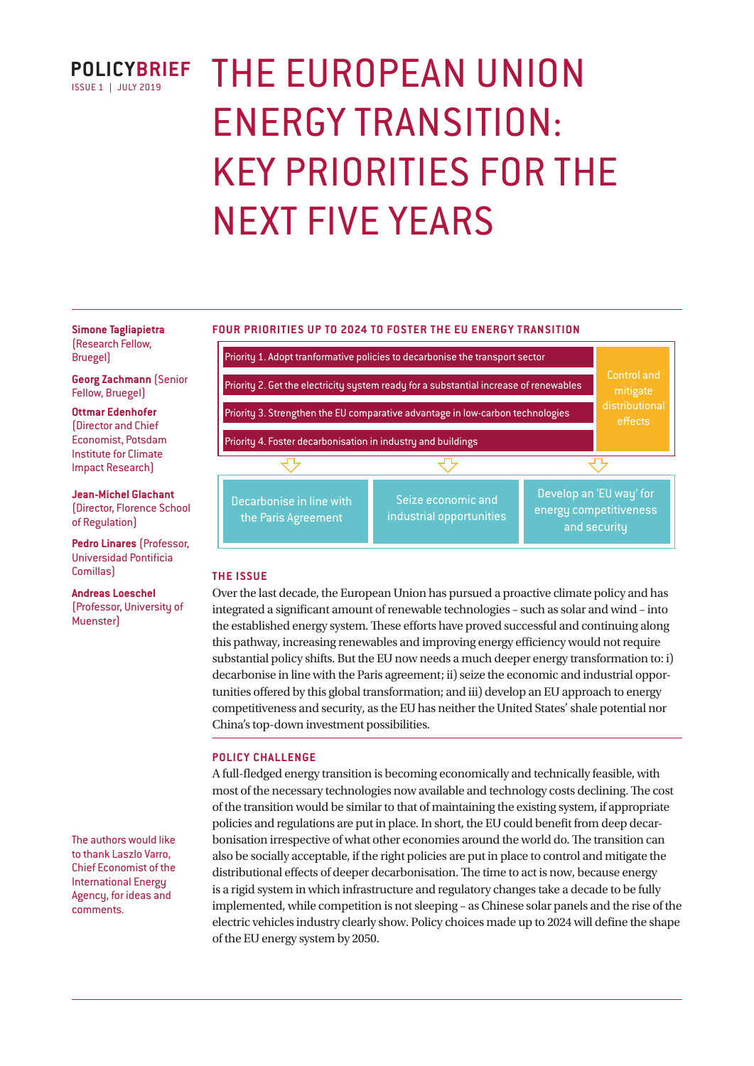

# THE EUROPEAN UNION ENERGY TRANSITION: KEY PRIORITIES FOR THE NEXT FIVE YEARS

#### **FOUR PRIORITIES UP TO 2024 TO FOSTER THE EU ENERGY TRANSITION**

**Simone Tagliapietra**  (Research Fellow, Bruegel)

**Georg Zachmann** (Senior Fellow, Bruegel)

**Ottmar Edenhofer** 

(Director and Chief Economist, Potsdam Institute for Climate Impact Research)

**Jean-Michel Glachant**  (Director, Florence School of Regulation)

**Pedro Linares** (Professor, Universidad Pontificia Comillas)

**Andreas Loeschel**  (Professor, University of **Muensterl** 

The authors would like to thank Laszlo Varro, Chief Economist of the International Energy Agency, for ideas and comments.



# **THE ISSUE**

Over the last decade, the European Union has pursued a proactive climate policy and has integrated a significant amount of renewable technologies – such as solar and wind – into the established energy system. These efforts have proved successful and continuing along this pathway, increasing renewables and improving energy efficiency would not require substantial policy shifts. But the EU now needs a much deeper energy transformation to: i) decarbonise in line with the Paris agreement; ii) seize the economic and industrial opportunities offered by this global transformation; and iii) develop an EU approach to energy competitiveness and security, as the EU has neither the United States' shale potential nor China's top-down investment possibilities.

# **POLICY CHALLENGE**

A full-fledged energy transition is becoming economically and technically feasible, with most of the necessary technologies now available and technology costs declining. The cost of the transition would be similar to that of maintaining the existing system, if appropriate policies and regulations are put in place. In short, the EU could benefit from deep decarbonisation irrespective of what other economies around the world do. The transition can also be socially acceptable, if the right policies are put in place to control and mitigate the distributional effects of deeper decarbonisation. The time to act is now, because energy is a rigid system in which infrastructure and regulatory changes take a decade to be fully implemented, while competition is not sleeping – as Chinese solar panels and the rise of the electric vehicles industry clearly show. Policy choices made up to 2024 will define the shape of the EU energy system by 2050.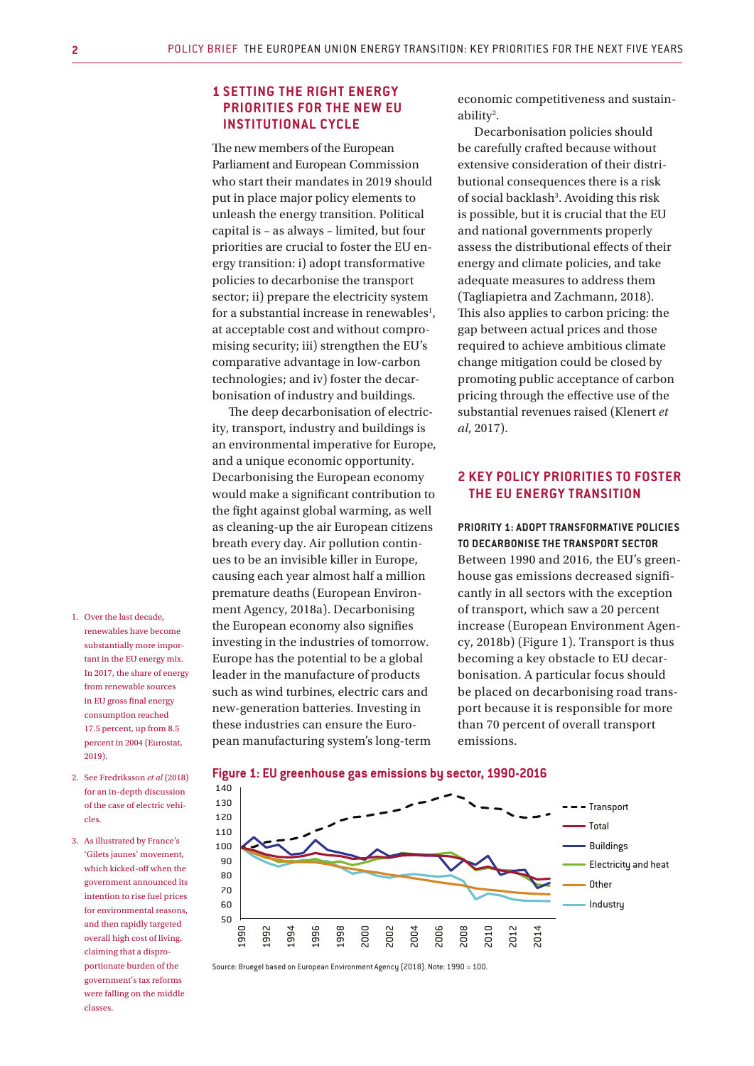# **1 SETTING THE RIGHT ENERGY PRIORITIES FOR THE NEW EU INSTITUTIONAL CYCLE**

The new members of the European Parliament and European Commission who start their mandates in 2019 should put in place major policy elements to unleash the energy transition. Political capital is – as always – limited, but four priorities are crucial to foster the EU energy transition: i) adopt transformative policies to decarbonise the transport sector; ii) prepare the electricity system for a substantial increase in renewables<sup>1</sup>, at acceptable cost and without compromising security; iii) strengthen the EU's comparative advantage in low-carbon technologies; and iv) foster the decarbonisation of industry and buildings.

The deep decarbonisation of electricity, transport, industry and buildings is an environmental imperative for Europe, and a unique economic opportunity. Decarbonising the European economy would make a significant contribution to the fight against global warming, as well as cleaning-up the air European citizens breath every day. Air pollution continues to be an invisible killer in Europe, causing each year almost half a million premature deaths (European Environment Agency, 2018a). Decarbonising the European economy also signifies investing in the industries of tomorrow. Europe has the potential to be a global leader in the manufacture of products such as wind turbines, electric cars and new-generation batteries. Investing in these industries can ensure the European manufacturing system's long-term

economic competitiveness and sustainability<sup>2</sup>.

Decarbonisation policies should be carefully crafted because without extensive consideration of their distributional consequences there is a risk of social backlash<sup>3</sup>. Avoiding this risk is possible, but it is crucial that the EU and national governments properly assess the distributional effects of their energy and climate policies, and take adequate measures to address them (Tagliapietra and Zachmann, 2018). This also applies to carbon pricing: the gap between actual prices and those required to achieve ambitious climate change mitigation could be closed by promoting public acceptance of carbon pricing through the effective use of the substantial revenues raised (Klenert *et al*, 2017).

# **2 KEY POLICY PRIORITIES TO FOSTER THE EU ENERGY TRANSITION**

**PRIORITY 1: ADOPT TRANSFORMATIVE POLICIES TO DECARBONISE THE TRANSPORT SECTOR**  Between 1990 and 2016, the EU's greenhouse gas emissions decreased significantly in all sectors with the exception of transport, which saw a 20 percent increase (European Environment Agency, 2018b) (Figure 1). Transport is thus becoming a key obstacle to EU decarbonisation. A particular focus should be placed on decarbonising road transport because it is responsible for more than 70 percent of overall transport emissions.

- 1. Over the last decade, renewables have become substantially more important in the EU energy mix. In 2017, the share of energy from renewable sources in EU gross final energy consumption reached 17.5 percent, up from 8.5 percent in 2004 (Eurostat, 2019).
- 2. See Fredriksson *et al* (2018) for an in-depth discussion of the case of electric vehicles.
- 3. As illustrated by France's 'Gilets jaunes' movement, which kicked-off when the government announced its intention to rise fuel prices for environmental reasons, and then rapidly targeted overall high cost of living, claiming that a disproportionate burden of the government's tax reforms were falling on the middle classes.

**Figure 1: EU greenhouse gas emissions by sector, 1990-2016**



Source: Bruegel based on European Environment Agency (2018). Note: 1990 = 100.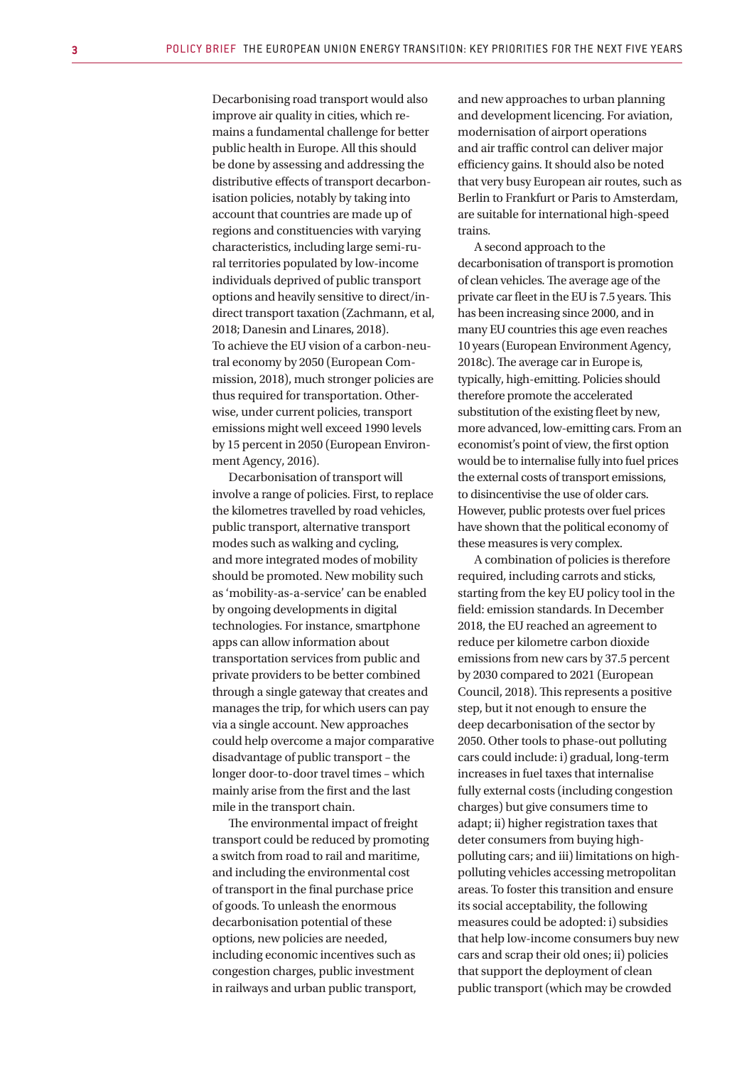Decarbonising road transport would also improve air quality in cities, which remains a fundamental challenge for better public health in Europe. All this should be done by assessing and addressing the distributive effects of transport decarbonisation policies, notably by taking into account that countries are made up of regions and constituencies with varying characteristics, including large semi-rural territories populated by low-income individuals deprived of public transport options and heavily sensitive to direct/indirect transport taxation (Zachmann, et al, 2018; Danesin and Linares, 2018). To achieve the EU vision of a carbon-neutral economy by 2050 (European Commission, 2018), much stronger policies are thus required for transportation. Otherwise, under current policies, transport emissions might well exceed 1990 levels by 15 percent in 2050 (European Environment Agency, 2016).

Decarbonisation of transport will involve a range of policies. First, to replace the kilometres travelled by road vehicles, public transport, alternative transport modes such as walking and cycling, and more integrated modes of mobility should be promoted. New mobility such as 'mobility-as-a-service' can be enabled by ongoing developments in digital technologies. For instance, smartphone apps can allow information about transportation services from public and private providers to be better combined through a single gateway that creates and manages the trip, for which users can pay via a single account. New approaches could help overcome a major comparative disadvantage of public transport – the longer door-to-door travel times – which mainly arise from the first and the last mile in the transport chain.

The environmental impact of freight transport could be reduced by promoting a switch from road to rail and maritime, and including the environmental cost of transport in the final purchase price of goods. To unleash the enormous decarbonisation potential of these options, new policies are needed, including economic incentives such as congestion charges, public investment in railways and urban public transport,

and new approaches to urban planning and development licencing. For aviation, modernisation of airport operations and air traffic control can deliver major efficiency gains. It should also be noted that very busy European air routes, such as Berlin to Frankfurt or Paris to Amsterdam, are suitable for international high-speed trains.

A second approach to the decarbonisation of transport is promotion of clean vehicles. The average age of the private car fleet in the EU is 7.5 years. This has been increasing since 2000, and in many EU countries this age even reaches 10 years (European Environment Agency, 2018c). The average car in Europe is, typically, high-emitting. Policies should therefore promote the accelerated substitution of the existing fleet by new, more advanced, low-emitting cars. From an economist's point of view, the first option would be to internalise fully into fuel prices the external costs of transport emissions, to disincentivise the use of older cars. However, public protests over fuel prices have shown that the political economy of these measures is very complex.

A combination of policies is therefore required, including carrots and sticks, starting from the key EU policy tool in the field: emission standards. In December 2018, the EU reached an agreement to reduce per kilometre carbon dioxide emissions from new cars by 37.5 percent by 2030 compared to 2021 (European Council, 2018). This represents a positive step, but it not enough to ensure the deep decarbonisation of the sector by 2050. Other tools to phase-out polluting cars could include: i) gradual, long-term increases in fuel taxes that internalise fully external costs (including congestion charges) but give consumers time to adapt; ii) higher registration taxes that deter consumers from buying highpolluting cars; and iii) limitations on highpolluting vehicles accessing metropolitan areas. To foster this transition and ensure its social acceptability, the following measures could be adopted: i) subsidies that help low-income consumers buy new cars and scrap their old ones; ii) policies that support the deployment of clean public transport (which may be crowded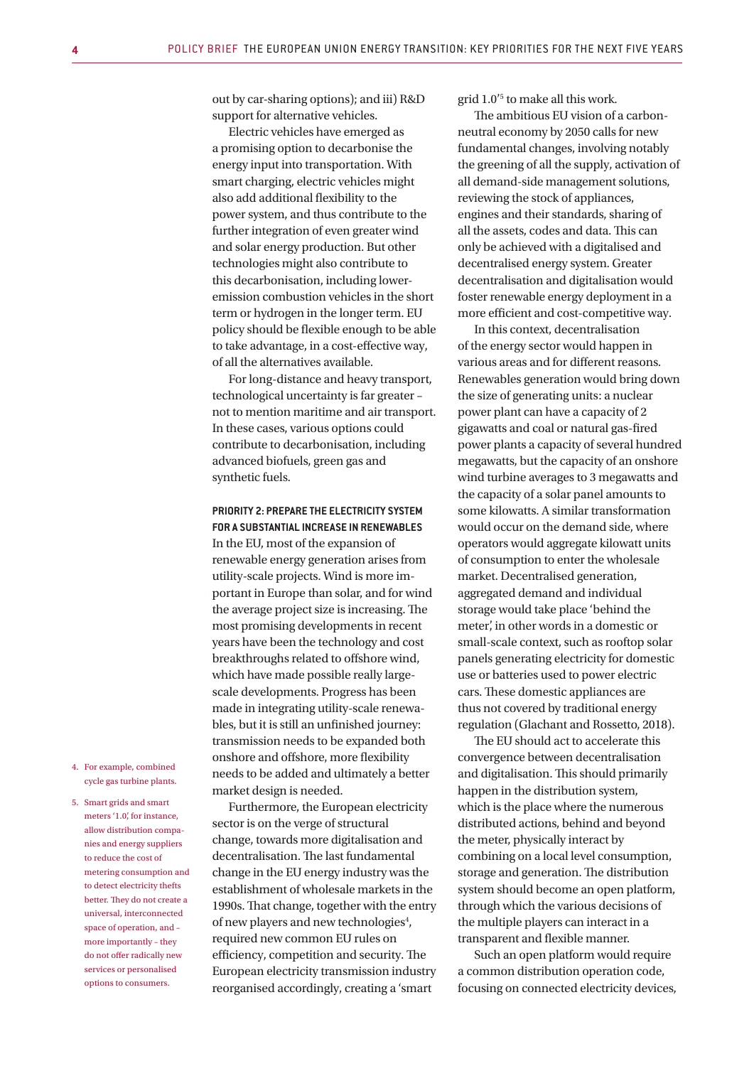out by car-sharing options); and iii) R&D support for alternative vehicles.

Electric vehicles have emerged as a promising option to decarbonise the energy input into transportation. With smart charging, electric vehicles might also add additional flexibility to the power system, and thus contribute to the further integration of even greater wind and solar energy production. But other technologies might also contribute to this decarbonisation, including loweremission combustion vehicles in the short term or hydrogen in the longer term. EU policy should be flexible enough to be able to take advantage, in a cost-effective way, of all the alternatives available.

For long-distance and heavy transport, technological uncertainty is far greater – not to mention maritime and air transport. In these cases, various options could contribute to decarbonisation, including advanced biofuels, green gas and synthetic fuels.

#### **PRIORITY 2: PREPARE THE ELECTRICITY SYSTEM FOR A SUBSTANTIAL INCREASE IN RENEWABLES**

In the EU, most of the expansion of renewable energy generation arises from utility-scale projects. Wind is more important in Europe than solar, and for wind the average project size is increasing. The most promising developments in recent years have been the technology and cost breakthroughs related to offshore wind, which have made possible really largescale developments. Progress has been made in integrating utility-scale renewables, but it is still an unfinished journey: transmission needs to be expanded both onshore and offshore, more flexibility needs to be added and ultimately a better market design is needed.

Furthermore, the European electricity sector is on the verge of structural change, towards more digitalisation and decentralisation. The last fundamental change in the EU energy industry was the establishment of wholesale markets in the 1990s. That change, together with the entry of new players and new technologies<sup>4</sup>, required new common EU rules on efficiency, competition and security. The European electricity transmission industry reorganised accordingly, creating a 'smart

grid 1.0'5 to make all this work.

The ambitious EU vision of a carbonneutral economy by 2050 calls for new fundamental changes, involving notably the greening of all the supply, activation of all demand-side management solutions, reviewing the stock of appliances, engines and their standards, sharing of all the assets, codes and data. This can only be achieved with a digitalised and decentralised energy system. Greater decentralisation and digitalisation would foster renewable energy deployment in a more efficient and cost-competitive way.

In this context, decentralisation of the energy sector would happen in various areas and for different reasons. Renewables generation would bring down the size of generating units: a nuclear power plant can have a capacity of 2 gigawatts and coal or natural gas-fired power plants a capacity of several hundred megawatts, but the capacity of an onshore wind turbine averages to 3 megawatts and the capacity of a solar panel amounts to some kilowatts. A similar transformation would occur on the demand side, where operators would aggregate kilowatt units of consumption to enter the wholesale market. Decentralised generation, aggregated demand and individual storage would take place 'behind the meter', in other words in a domestic or small-scale context, such as rooftop solar panels generating electricity for domestic use or batteries used to power electric cars. These domestic appliances are thus not covered by traditional energy regulation (Glachant and Rossetto, 2018).

The EU should act to accelerate this convergence between decentralisation and digitalisation. This should primarily happen in the distribution system, which is the place where the numerous distributed actions, behind and beyond the meter, physically interact by combining on a local level consumption, storage and generation. The distribution system should become an open platform, through which the various decisions of the multiple players can interact in a transparent and flexible manner.

Such an open platform would require a common distribution operation code, focusing on connected electricity devices,

- 4. For example, combined cycle gas turbine plants.
- 5. Smart grids and smart meters '1.0', for instance, allow distribution companies and energy suppliers to reduce the cost of metering consumption and to detect electricity thefts better. They do not create a universal, interconnected space of operation, and – more importantly – they do not offer radically new services or personalised options to consumers.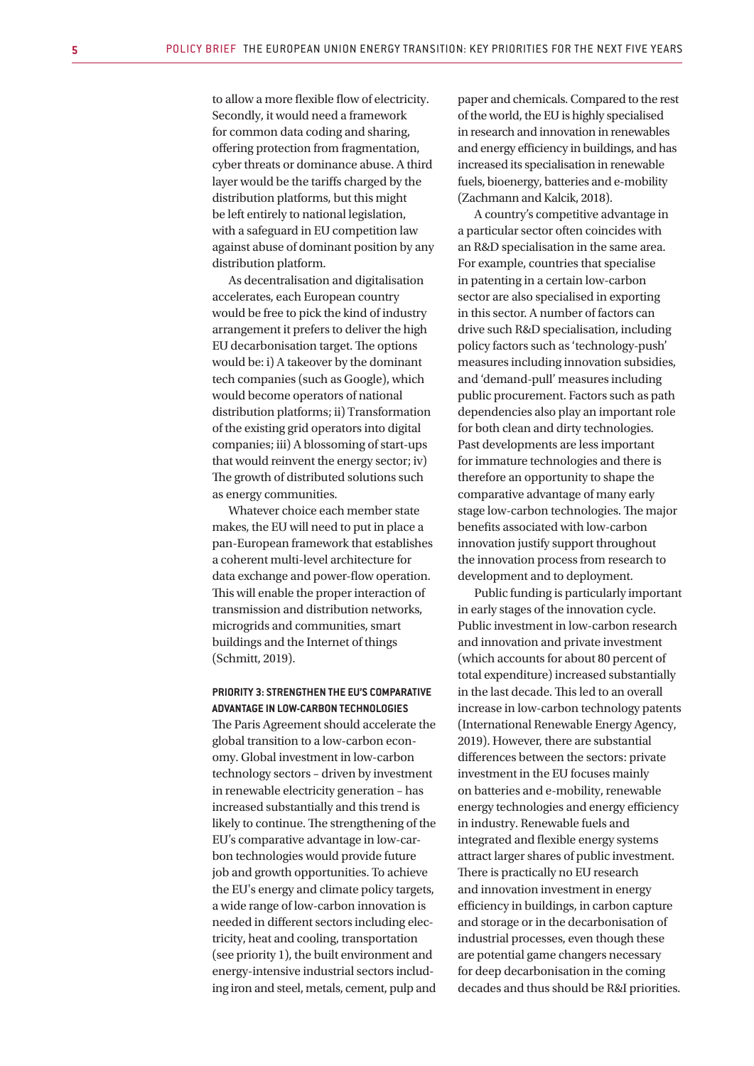to allow a more flexible flow of electricity. Secondly, it would need a framework for common data coding and sharing, offering protection from fragmentation, cyber threats or dominance abuse. A third layer would be the tariffs charged by the distribution platforms, but this might be left entirely to national legislation, with a safeguard in EU competition law against abuse of dominant position by any distribution platform.

As decentralisation and digitalisation accelerates, each European country would be free to pick the kind of industry arrangement it prefers to deliver the high EU decarbonisation target. The options would be: i) A takeover by the dominant tech companies (such as Google), which would become operators of national distribution platforms; ii) Transformation of the existing grid operators into digital companies; iii) A blossoming of start-ups that would reinvent the energy sector; iv) The growth of distributed solutions such as energy communities.

Whatever choice each member state makes, the EU will need to put in place a pan-European framework that establishes a coherent multi-level architecture for data exchange and power-flow operation. This will enable the proper interaction of transmission and distribution networks, microgrids and communities, smart buildings and the Internet of things (Schmitt, 2019).

#### **PRIORITY 3: STRENGTHEN THE EU'S COMPARATIVE ADVANTAGE IN LOW-CARBON TECHNOLOGIES**

The Paris Agreement should accelerate the global transition to a low-carbon economy. Global investment in low-carbon technology sectors – driven by investment in renewable electricity generation – has increased substantially and this trend is likely to continue. The strengthening of the EU's comparative advantage in low-carbon technologies would provide future job and growth opportunities. To achieve the EU's energy and climate policy targets, a wide range of low-carbon innovation is needed in different sectors including electricity, heat and cooling, transportation (see priority 1), the built environment and energy-intensive industrial sectors including iron and steel, metals, cement, pulp and paper and chemicals. Compared to the rest of the world, the EU is highly specialised in research and innovation in renewables and energy efficiency in buildings, and has increased its specialisation in renewable fuels, bioenergy, batteries and e-mobility (Zachmann and Kalcik, 2018).

A country's competitive advantage in a particular sector often coincides with an R&D specialisation in the same area. For example, countries that specialise in patenting in a certain low-carbon sector are also specialised in exporting in this sector. A number of factors can drive such R&D specialisation, including policy factors such as 'technology-push' measures including innovation subsidies, and 'demand-pull' measures including public procurement. Factors such as path dependencies also play an important role for both clean and dirty technologies. Past developments are less important for immature technologies and there is therefore an opportunity to shape the comparative advantage of many early stage low-carbon technologies. The major benefits associated with low-carbon innovation justify support throughout the innovation process from research to development and to deployment.

Public funding is particularly important in early stages of the innovation cycle. Public investment in low-carbon research and innovation and private investment (which accounts for about 80 percent of total expenditure) increased substantially in the last decade. This led to an overall increase in low-carbon technology patents (International Renewable Energy Agency, 2019). However, there are substantial differences between the sectors: private investment in the EU focuses mainly on batteries and e-mobility, renewable energy technologies and energy efficiency in industry. Renewable fuels and integrated and flexible energy systems attract larger shares of public investment. There is practically no EU research and innovation investment in energy efficiency in buildings, in carbon capture and storage or in the decarbonisation of industrial processes, even though these are potential game changers necessary for deep decarbonisation in the coming decades and thus should be R&I priorities.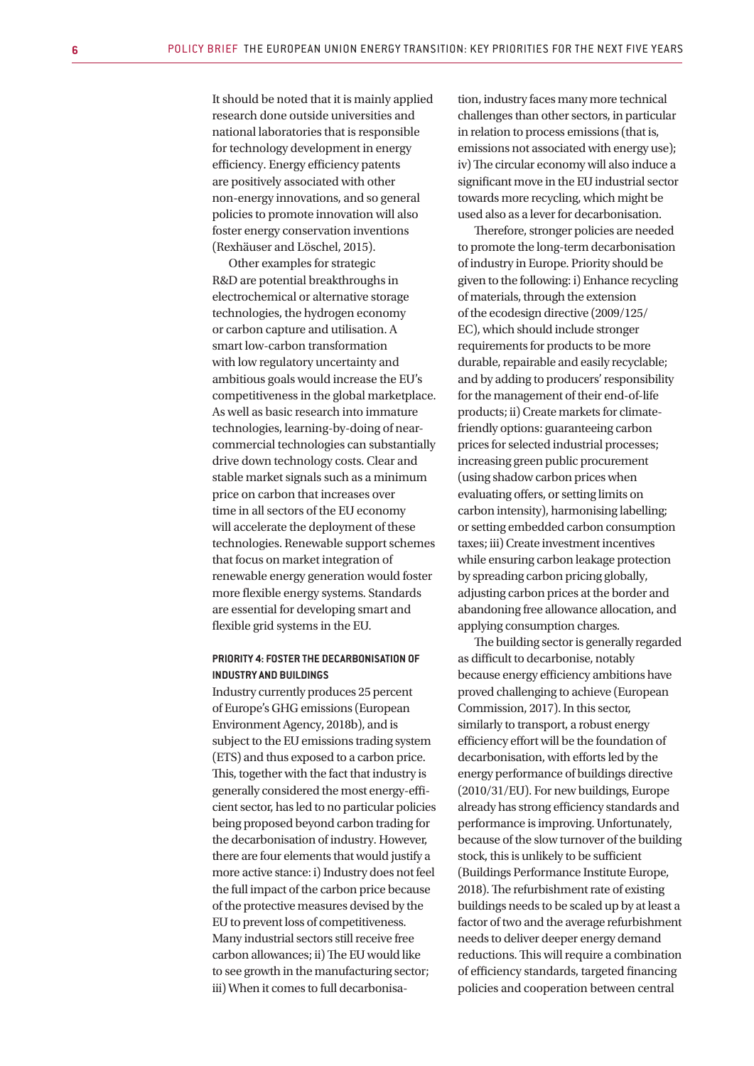It should be noted that it is mainly applied research done outside universities and national laboratories that is responsible for technology development in energy efficiency. Energy efficiency patents are positively associated with other non-energy innovations, and so general policies to promote innovation will also foster energy conservation inventions (Rexhäuser and Löschel, 2015).

Other examples for strategic R&D are potential breakthroughs in electrochemical or alternative storage technologies, the hydrogen economy or carbon capture and utilisation. A smart low-carbon transformation with low regulatory uncertainty and ambitious goals would increase the EU's competitiveness in the global marketplace. As well as basic research into immature technologies, learning-by-doing of nearcommercial technologies can substantially drive down technology costs. Clear and stable market signals such as a minimum price on carbon that increases over time in all sectors of the EU economy will accelerate the deployment of these technologies. Renewable support schemes that focus on market integration of renewable energy generation would foster more flexible energy systems. Standards are essential for developing smart and flexible grid systems in the EU.

## **PRIORITY 4: FOSTER THE DECARBONISATION OF INDUSTRY AND BUILDINGS**

Industry currently produces 25 percent of Europe's GHG emissions (European Environment Agency, 2018b), and is subject to the EU emissions trading system (ETS) and thus exposed to a carbon price. This, together with the fact that industry is generally considered the most energy-efficient sector, has led to no particular policies being proposed beyond carbon trading for the decarbonisation of industry. However, there are four elements that would justify a more active stance: i) Industry does not feel the full impact of the carbon price because of the protective measures devised by the EU to prevent loss of competitiveness. Many industrial sectors still receive free carbon allowances; ii) The EU would like to see growth in the manufacturing sector; iii) When it comes to full decarbonisa-

tion, industry faces many more technical challenges than other sectors, in particular in relation to process emissions (that is, emissions not associated with energy use); iv) The circular economy will also induce a significant move in the EU industrial sector towards more recycling, which might be used also as a lever for decarbonisation.

Therefore, stronger policies are needed to promote the long-term decarbonisation of industry in Europe. Priority should be given to the following: i) Enhance recycling of materials, through the extension of the ecodesign directive (2009/125/ EC), which should include stronger requirements for products to be more durable, repairable and easily recyclable; and by adding to producers' responsibility for the management of their end-of-life products; ii) Create markets for climatefriendly options: guaranteeing carbon prices for selected industrial processes; increasing green public procurement (using shadow carbon prices when evaluating offers, or setting limits on carbon intensity), harmonising labelling; or setting embedded carbon consumption taxes; iii) Create investment incentives while ensuring carbon leakage protection by spreading carbon pricing globally, adjusting carbon prices at the border and abandoning free allowance allocation, and applying consumption charges.

The building sector is generally regarded as difficult to decarbonise, notably because energy efficiency ambitions have proved challenging to achieve (European Commission, 2017). In this sector, similarly to transport, a robust energy efficiency effort will be the foundation of decarbonisation, with efforts led by the energy performance of buildings directive (2010/31/EU). For new buildings, Europe already has strong efficiency standards and performance is improving. Unfortunately, because of the slow turnover of the building stock, this is unlikely to be sufficient (Buildings Performance Institute Europe, 2018). The refurbishment rate of existing buildings needs to be scaled up by at least a factor of two and the average refurbishment needs to deliver deeper energy demand reductions. This will require a combination of efficiency standards, targeted financing policies and cooperation between central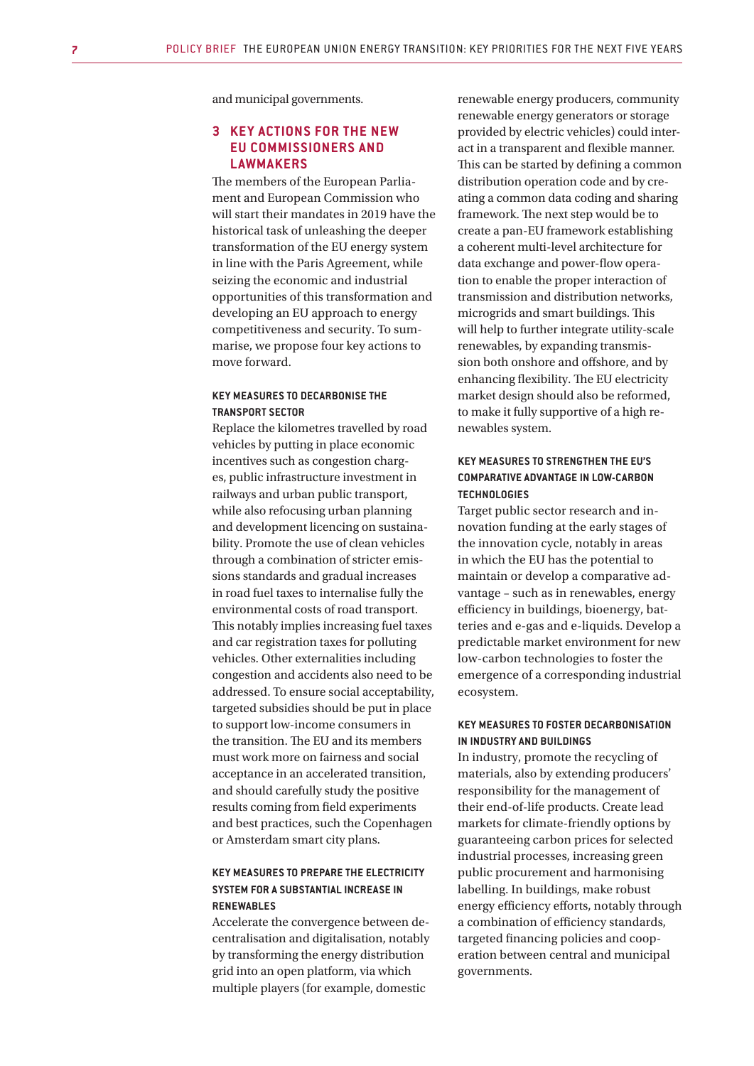and municipal governments.

## **3 KEY ACTIONS FOR THE NEW EU COMMISSIONERS AND LAWMAKERS**

The members of the European Parliament and European Commission who will start their mandates in 2019 have the historical task of unleashing the deeper transformation of the EU energy system in line with the Paris Agreement, while seizing the economic and industrial opportunities of this transformation and developing an EU approach to energy competitiveness and security. To summarise, we propose four key actions to move forward.

## **KEY MEASURES TO DECARBONISE THE TRANSPORT SECTOR**

Replace the kilometres travelled by road vehicles by putting in place economic incentives such as congestion charges, public infrastructure investment in railways and urban public transport, while also refocusing urban planning and development licencing on sustainability. Promote the use of clean vehicles through a combination of stricter emissions standards and gradual increases in road fuel taxes to internalise fully the environmental costs of road transport. This notably implies increasing fuel taxes and car registration taxes for polluting vehicles. Other externalities including congestion and accidents also need to be addressed. To ensure social acceptability, targeted subsidies should be put in place to support low-income consumers in the transition. The EU and its members must work more on fairness and social acceptance in an accelerated transition, and should carefully study the positive results coming from field experiments and best practices, such the Copenhagen or Amsterdam smart city plans.

## **KEY MEASURES TO PREPARE THE ELECTRICITY SYSTEM FOR A SUBSTANTIAL INCREASE IN RENEWABLES**

Accelerate the convergence between decentralisation and digitalisation, notably by transforming the energy distribution grid into an open platform, via which multiple players (for example, domestic

renewable energy producers, community renewable energy generators or storage provided by electric vehicles) could interact in a transparent and flexible manner. This can be started by defining a common distribution operation code and by creating a common data coding and sharing framework. The next step would be to create a pan-EU framework establishing a coherent multi-level architecture for data exchange and power-flow operation to enable the proper interaction of transmission and distribution networks, microgrids and smart buildings. This will help to further integrate utility-scale renewables, by expanding transmission both onshore and offshore, and by enhancing flexibility. The EU electricity market design should also be reformed, to make it fully supportive of a high renewables system.

## **KEY MEASURES TO STRENGTHEN THE EU'S COMPARATIVE ADVANTAGE IN LOW-CARBON TECHNOLOGIES**

Target public sector research and innovation funding at the early stages of the innovation cycle, notably in areas in which the EU has the potential to maintain or develop a comparative advantage – such as in renewables, energy efficiency in buildings, bioenergy, batteries and e-gas and e-liquids. Develop a predictable market environment for new low-carbon technologies to foster the emergence of a corresponding industrial ecosystem.

#### **KEY MEASURES TO FOSTER DECARBONISATION IN INDUSTRY AND BUILDINGS**

In industry, promote the recycling of materials, also by extending producers' responsibility for the management of their end-of-life products. Create lead markets for climate-friendly options by guaranteeing carbon prices for selected industrial processes, increasing green public procurement and harmonising labelling. In buildings, make robust energy efficiency efforts, notably through a combination of efficiency standards, targeted financing policies and cooperation between central and municipal governments.